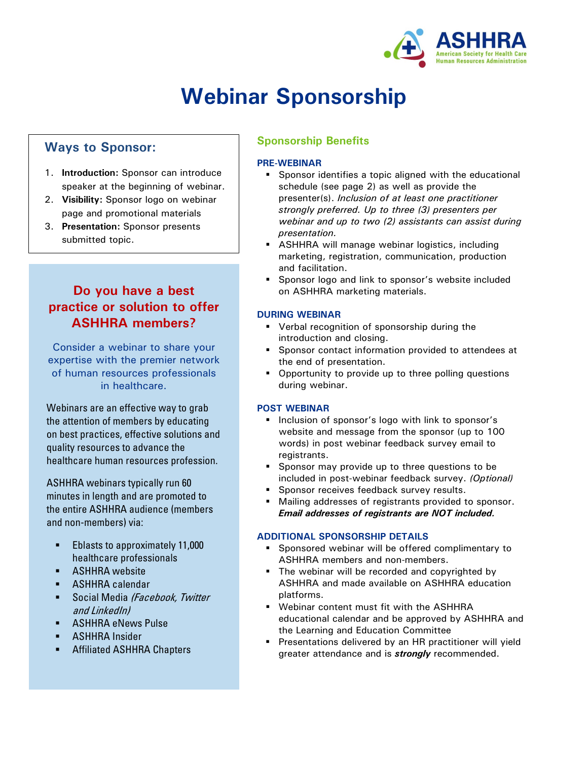

# **Webinar Sponsorship**

## **Ways to Sponsor:**

- 1. **Introduction:** Sponsor can introduce speaker at the beginning of webinar.
- 2. **Visibility:** Sponsor logo on webinar page and promotional materials
- 3. **Presentation:** Sponsor presents submitted topic.

## **Do you have a best practice or solution to offer ASHHRA members?**

Consider a webinar to share your expertise with the premier network of human resources professionals in healthcare.

Webinars are an effective way to grab the attention of members by educating on best practices, effective solutions and quality resources to advance the healthcare human resources profession.

ASHHRA webinars typically run 60 minutes in length and are promoted to the entire ASHHRA audience (members and non-members) via:

- Eblasts to approximately 11,000 healthcare professionals
- **-** ASHHRA website
- **-** ASHHRA calendar
- Social Media (Facebook, Twitter and LinkedIn)
- **-** ASHHRA eNews Pulse
- **-** ASHHRA Insider
- **EXECUTE:** Affiliated ASHHRA Chapters

## **Sponsorship Benefits**

#### **PRE-WEBINAR**

- **Sponsor identifies a topic aligned with the educational** schedule (see page 2) as well as provide the presenter(s). *Inclusion of at least one practitioner strongly preferred. Up to three (3) presenters per webinar and up to two (2) assistants can assist during presentation.*
- **ASHHRA will manage webinar logistics, including** marketing, registration, communication, production and facilitation.
- **Sponsor logo and link to sponsor's website included** on ASHHRA marketing materials.

#### **DURING WEBINAR**

- **•** Verbal recognition of sponsorship during the introduction and closing.
- **Sponsor contact information provided to attendees at** the end of presentation.
- Opportunity to provide up to three polling questions during webinar.

#### **POST WEBINAR**

- **Inclusion of sponsor's logo with link to sponsor's** website and message from the sponsor (up to 100 words) in post webinar feedback survey email to registrants.
- Sponsor may provide up to three questions to be included in post-webinar feedback survey. *(Optional)*
- **Sponsor receives feedback survey results.**
- Mailing addresses of registrants provided to sponsor. *Email addresses of registrants are NOT included.*

#### **ADDITIONAL SPONSORSHIP DETAILS**

- **Sponsored webinar will be offered complimentary to** ASHHRA members and non-members.
- The webinar will be recorded and copyrighted by ASHHRA and made available on ASHHRA education platforms.
- Webinar content must fit with the ASHHRA educational calendar and be approved by ASHHRA and the Learning and Education Committee
- **Presentations delivered by an HR practitioner will yield** greater attendance and is *strongly* recommended.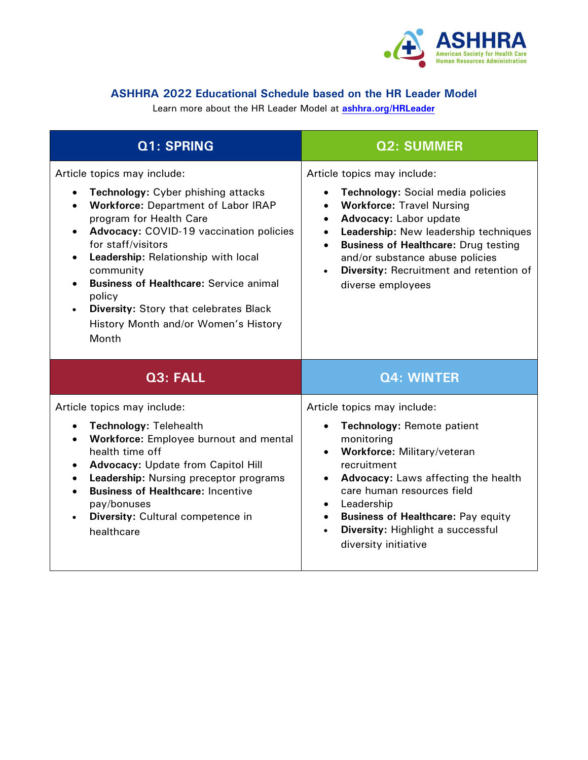

## **ASHHRA 2022 Educational Schedule based on the HR Leader Model**

Learn more about the HR Leader Model at **[ashhra.org/HRLeader](https://ashhra.org/resources/hr-leader-model/)**

| Q1: SPRING                                                                                                                                                                                                                                                                                                                                                                                                                                                                        | <b>Q2: SUMMER</b>                                                                                                                                                                                                                                                                                                                                                                                       |
|-----------------------------------------------------------------------------------------------------------------------------------------------------------------------------------------------------------------------------------------------------------------------------------------------------------------------------------------------------------------------------------------------------------------------------------------------------------------------------------|---------------------------------------------------------------------------------------------------------------------------------------------------------------------------------------------------------------------------------------------------------------------------------------------------------------------------------------------------------------------------------------------------------|
| Article topics may include:<br><b>Technology: Cyber phishing attacks</b><br>$\bullet$<br><b>Workforce: Department of Labor IRAP</b><br>program for Health Care<br><b>Advocacy: COVID-19 vaccination policies</b><br>$\bullet$<br>for staff/visitors<br>Leadership: Relationship with local<br>community<br><b>Business of Healthcare: Service animal</b><br>policy<br><b>Diversity: Story that celebrates Black</b><br>$\bullet$<br>History Month and/or Women's History<br>Month | Article topics may include:<br>Technology: Social media policies<br>$\bullet$<br><b>Workforce: Travel Nursing</b><br>$\bullet$<br>Advocacy: Labor update<br>$\bullet$<br>Leadership: New leadership techniques<br>$\bullet$<br><b>Business of Healthcare: Drug testing</b><br>$\bullet$<br>and/or substance abuse policies<br>Diversity: Recruitment and retention of<br>$\bullet$<br>diverse employees |
| Q3: FALL                                                                                                                                                                                                                                                                                                                                                                                                                                                                          | <b>Q4: WINTER</b>                                                                                                                                                                                                                                                                                                                                                                                       |
| Article topics may include:<br><b>Technology: Telehealth</b><br>$\bullet$<br>Workforce: Employee burnout and mental<br>$\bullet$<br>health time off<br><b>Advocacy: Update from Capitol Hill</b><br>$\bullet$<br>Leadership: Nursing preceptor programs<br>$\bullet$<br><b>Business of Healthcare: Incentive</b><br>pay/bonuses<br>Diversity: Cultural competence in<br>healthcare                                                                                                | Article topics may include:<br>Technology: Remote patient<br>$\bullet$<br>monitoring<br>Workforce: Military/veteran<br>$\bullet$<br>recruitment<br><b>Advocacy:</b> Laws affecting the health<br>$\bullet$<br>care human resources field<br>Leadership<br><b>Business of Healthcare: Pay equity</b><br>$\bullet$<br>Diversity: Highlight a successful<br>$\bullet$<br>diversity initiative              |